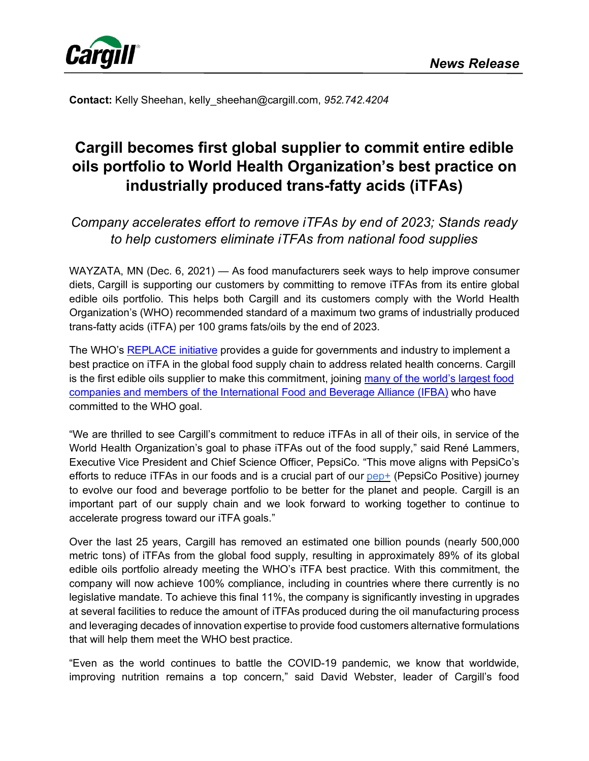

**Contact:** Kelly Sheehan, kelly\_sheehan@cargill.com, *952.742.4204*

# **Cargill becomes first global supplier to commit entire edible oils portfolio to World Health Organization's best practice on industrially produced trans-fatty acids (iTFAs)**

## *Company accelerates effort to remove iTFAs by end of 2023; Stands ready to help customers eliminate iTFAs from national food supplies*

WAYZATA, MN (Dec. 6, 2021) — As food manufacturers seek ways to help improve consumer diets, Cargill is supporting our customers by committing to remove iTFAs from its entire global edible oils portfolio. This helps both Cargill and its customers comply with the World Health Organization's (WHO) recommended standard of a maximum two grams of industrially produced trans-fatty acids (iTFA) per 100 grams fats/oils by the end of 2023.

The WHO's [REPLACE initiative](https://www.who.int/teams/nutrition-and-food-safety/replace-trans-fat) provides a guide for governments and industry to implement a best practice on iTFA in the global food supply chain to address related health concerns. Cargill is the first edible oils supplier to make this commitment, joining many of the world's largest food [companies and members of the International Food and Beverage Alliance \(IFBA\)](https://ifballiance.org/news/ifba-enhanced-commitment-to-phase-out-industrially-produced-trans-fatty-acids/) who have committed to the WHO goal.

"We are thrilled to see Cargill's commitment to reduce iTFAs in all of their oils, in service of the World Health Organization's goal to phase iTFAs out of the food supply," said René Lammers, Executive Vice President and Chief Science Officer, PepsiCo. "This move aligns with PepsiCo's efforts to reduce iTFAs in our foods and is a crucial part of our [pep+](https://urldefense.com/v3/__https:/nam12.safelinks.protection.outlook.com/?url=https*3A*2F*2Fwww.pepsico.com*2Fpepsicopositive&data=04*7C01*7CRene.Lammers*40pepsico.com*7C408e786d73ab4bf38d0808d997bdc698*7C42cc3295cd0e449cb98e5ce5b560c1d3*7C0*7C0*7C637707663594617586*7CUnknown*7CTWFpbGZsb3d8eyJWIjoiMC4wLjAwMDAiLCJQIjoiV2luMzIiLCJBTiI6Ik1haWwiLCJXVCI6Mn0*3D*7C1000&sdata=qLkjirXzQPdxI1*2BTDQNyZZ1ljq3Tcs6SDhxmQCng2bw*3D&reserved=0__;JSUlJSUlJSUlJSUlJSUlJSUl!!ETL5SZvLnA!u-YzGU67B1Fqp55gm7QAltj1vwJK8pR1dd3tM7Ejg3joNJKYWE5qW6HpXJOTotAaTJbvNg$) (PepsiCo Positive) journey to evolve our food and beverage portfolio to be better for the planet and people. Cargill is an important part of our supply chain and we look forward to working together to continue to accelerate progress toward our iTFA goals."

Over the last 25 years, Cargill has removed an estimated one billion pounds (nearly 500,000 metric tons) of iTFAs from the global food supply, resulting in approximately 89% of its global edible oils portfolio already meeting the WHO's iTFA best practice. With this commitment, the company will now achieve 100% compliance, including in countries where there currently is no legislative mandate. To achieve this final 11%, the company is significantly investing in upgrades at several facilities to reduce the amount of iTFAs produced during the oil manufacturing process and leveraging decades of innovation expertise to provide food customers alternative formulations that will help them meet the WHO best practice.

"Even as the world continues to battle the COVID-19 pandemic, we know that worldwide, improving nutrition remains a top concern," said David Webster, leader of Cargill's food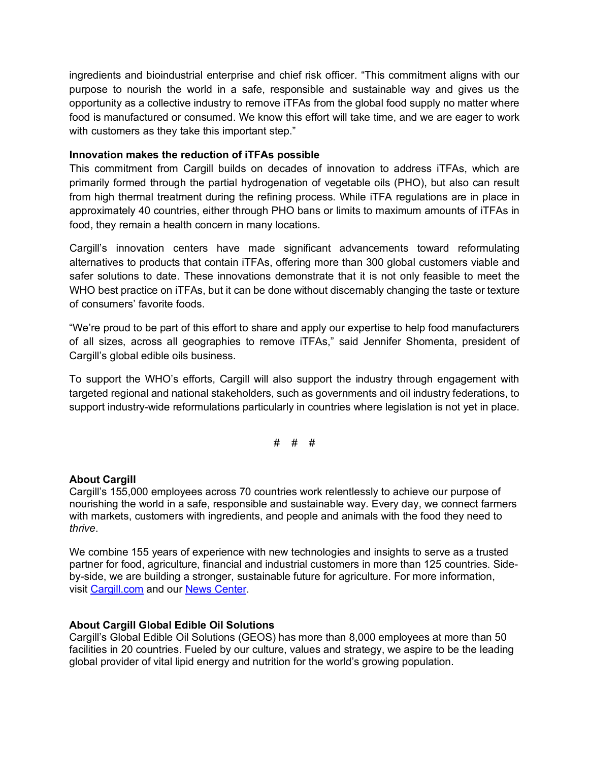ingredients and bioindustrial enterprise and chief risk officer. "This commitment aligns with our purpose to nourish the world in a safe, responsible and sustainable way and gives us the opportunity as a collective industry to remove iTFAs from the global food supply no matter where food is manufactured or consumed. We know this effort will take time, and we are eager to work with customers as they take this important step."

### **Innovation makes the reduction of iTFAs possible**

This commitment from Cargill builds on decades of innovation to address iTFAs, which are primarily formed through the partial hydrogenation of vegetable oils (PHO), but also can result from high thermal treatment during the refining process. While iTFA regulations are in place in approximately 40 countries, either through PHO bans or limits to maximum amounts of iTFAs in food, they remain a health concern in many locations.

Cargill's innovation centers have made significant advancements toward reformulating alternatives to products that contain iTFAs, offering more than 300 global customers viable and safer solutions to date. These innovations demonstrate that it is not only feasible to meet the WHO best practice on iTFAs, but it can be done without discernably changing the taste or texture of consumers' favorite foods.

"We're proud to be part of this effort to share and apply our expertise to help food manufacturers of all sizes, across all geographies to remove iTFAs," said Jennifer Shomenta, president of Cargill's global edible oils business.

To support the WHO's efforts, Cargill will also support the industry through engagement with targeted regional and national stakeholders, such as governments and oil industry federations, to support industry-wide reformulations particularly in countries where legislation is not yet in place.

# # #

### **About Cargill**

Cargill's 155,000 employees across 70 countries work relentlessly to achieve our purpose of nourishing the world in a safe, responsible and sustainable way. Every day, we connect farmers with markets, customers with ingredients, and people and animals with the food they need to *thrive*.

We combine 155 years of experience with new technologies and insights to serve as a trusted partner for food, agriculture, financial and industrial customers in more than 125 countries. Sideby-side, we are building a stronger, sustainable future for agriculture. For more information, visit [Cargill.com](http://www.cargill.com/) and our [News Center.](https://www.cargill.com/news)

### **About Cargill Global Edible Oil Solutions**

Cargill's Global Edible Oil Solutions (GEOS) has more than 8,000 employees at more than 50 facilities in 20 countries. Fueled by our culture, values and strategy, we aspire to be the leading global provider of vital lipid energy and nutrition for the world's growing population.